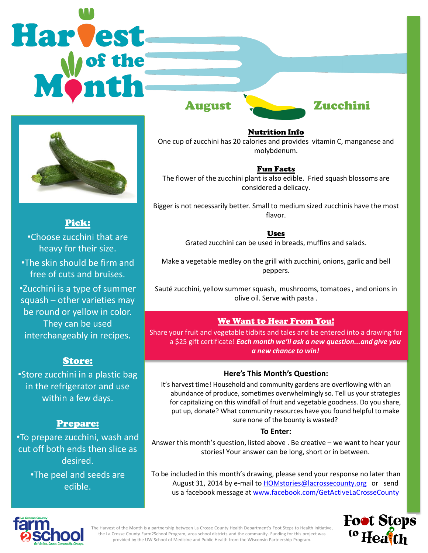# Harvest



Pick: •Choose zucchini that are heavy for their size. •The skin should be firm and free of cuts and bruises. •Zucchini is a type of summer squash – other varieties may be round or yellow in color. They can be used interchangeably in recipes.

# Store:

•Store zucchini in a plastic bag in the refrigerator and use within a few days.

# Prepare:

•To prepare zucchini, wash and cut off both ends then slice as desired.

> •The peel and seeds are edible.



Nutrition Info One cup of zucchini has 20 calories and provides vitamin C, manganese and molybdenum.

# Fun Facts

The flower of the zucchini plant is also edible. Fried squash blossoms are considered a delicacy.

Bigger is not necessarily better. Small to medium sized zucchinis have the most flavor.

Uses

Grated zucchini can be used in breads, muffins and salads.

Make a vegetable medley on the grill with zucchini, onions, garlic and bell peppers.

Sauté zucchini, yellow summer squash, mushrooms, tomatoes , and onions in olive oil. Serve with pasta .

# We Want to Hear From You!

Share your fruit and vegetable tidbits and tales and be entered into a drawing for a \$25 gift certificate! *Each month we'll ask a new question...and give you a new chance to win!* 

### **Here's This Month's Question:**

It's harvest time! Household and community gardens are overflowing with an abundance of produce, sometimes overwhelmingly so. Tell us your strategies for capitalizing on this windfall of fruit and vegetable goodness. Do you share, put up, donate? What community resources have you found helpful to make sure none of the bounty is wasted?

### **To Enter:**

Answer this month's question, listed above . Be creative – we want to hear your stories! Your answer can be long, short or in between.

To be included in this month's drawing, please send your response no later than August 31, 2014 by e-mail to [HOMstories@lacrossecounty.org](mailto:HOMstories@lacrossecounty.org) or send us a facebook message at [www.facebook.com/GetActiveLaCrosseCounty](http://www.facebook.com/GetActiveLaCrosseCounty)